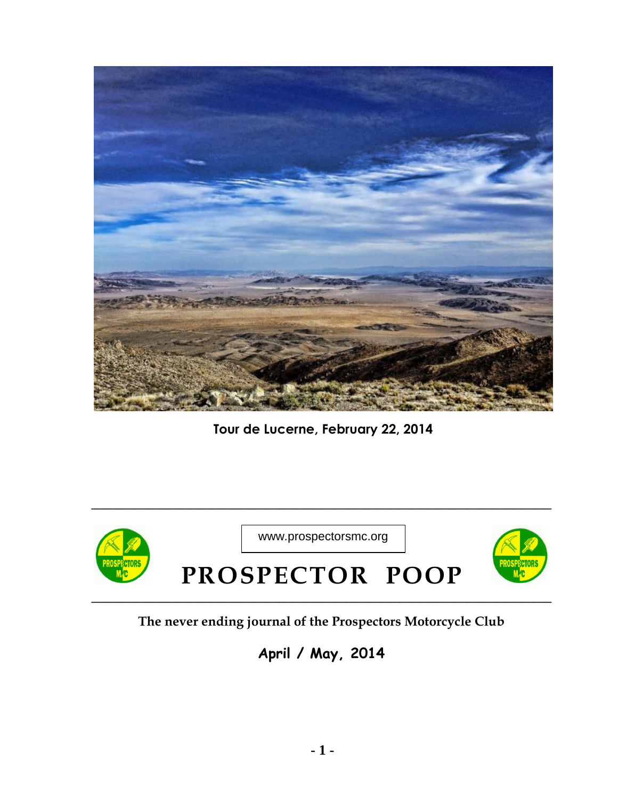

**Tour de Lucerne, February 22, 2014**



**\_\_\_\_\_\_\_\_\_\_\_\_\_\_\_\_\_\_\_\_\_\_\_\_\_\_\_\_\_\_\_\_\_\_\_\_\_\_\_\_\_\_\_\_\_\_\_\_\_\_\_\_\_\_\_\_\_\_\_\_\_\_\_\_\_\_\_\_\_\_\_\_\_\_\_\_**

## **The never ending journal of the Prospectors Motorcycle Club**

**April / May, 2014**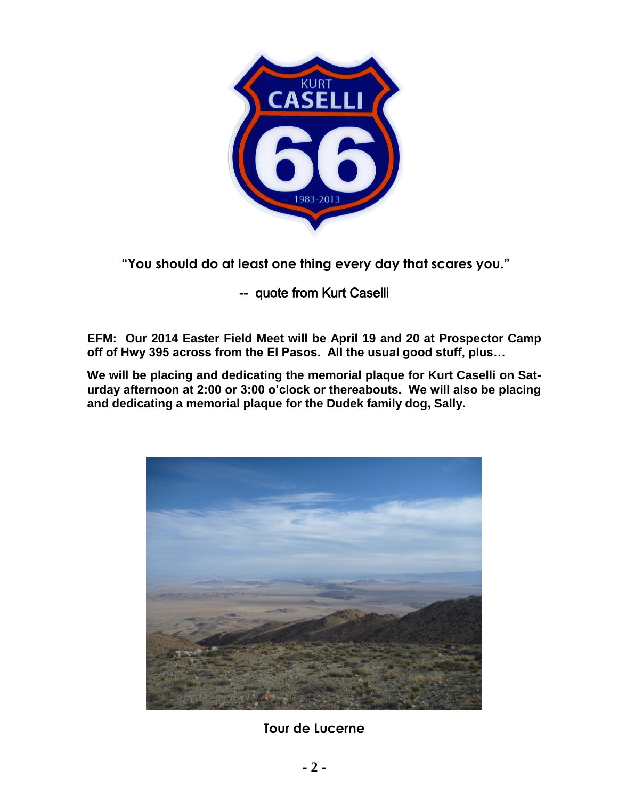

**"You should do at least one thing every day that scares you."**

-- quote from Kurt Caselli

**EFM: Our 2014 Easter Field Meet will be April 19 and 20 at Prospector Camp off of Hwy 395 across from the El Pasos. All the usual good stuff, plus…** 

**We will be placing and dedicating the memorial plaque for Kurt Caselli on Saturday afternoon at 2:00 or 3:00 o'clock or thereabouts. We will also be placing and dedicating a memorial plaque for the Dudek family dog, Sally.** 



**Tour de Lucerne**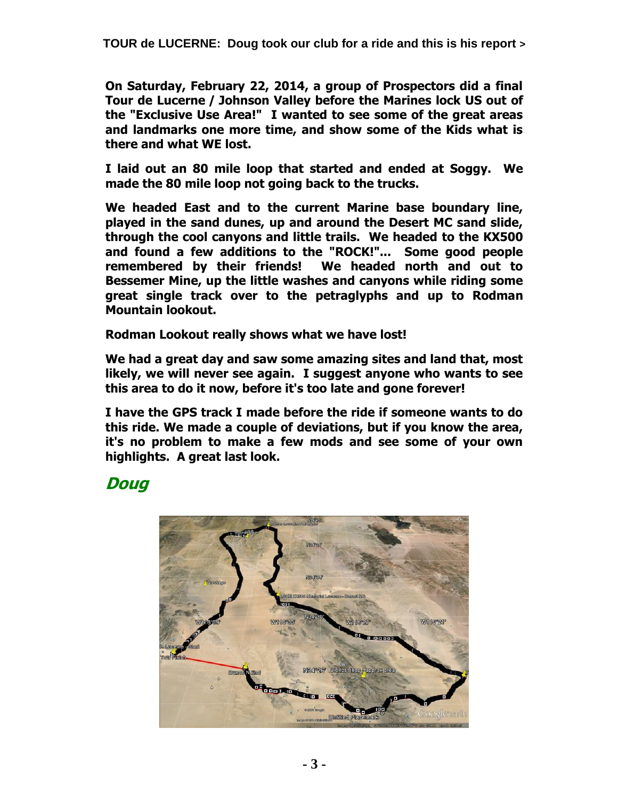**TOUR de LUCERNE: Doug took our club for a ride and this is his report >**

**On Saturday, February 22, 2014, a group of Prospectors did a final Tour de Lucerne / Johnson Valley before the Marines lock US out of the "Exclusive Use Area!" I wanted to see some of the great areas and landmarks one more time, and show some of the Kids what is there and what WE lost.** 

**I laid out an 80 mile loop that started and ended at Soggy. We made the 80 mile loop not going back to the trucks.**

**We headed East and to the current Marine base boundary line, played in the sand dunes, up and around the Desert MC sand slide, through the cool canyons and little trails. We headed to the KX500 and found a few additions to the "ROCK!"... Some good people remembered by their friends! We headed north and out to Bessemer Mine, up the little washes and canyons while riding some great single track over to the petraglyphs and up to Rodman Mountain lookout.** 

**Rodman Lookout really shows what we have lost!** 

**We had a great day and saw some amazing sites and land that, most likely, we will never see again. I suggest anyone who wants to see this area to do it now, before it's too late and gone forever!** 

**I have the GPS track I made before the ride if someone wants to do this ride. We made a couple of deviations, but if you know the area, it's no problem to make a few mods and see some of your own highlights. A great last look.** 

# **Doug**

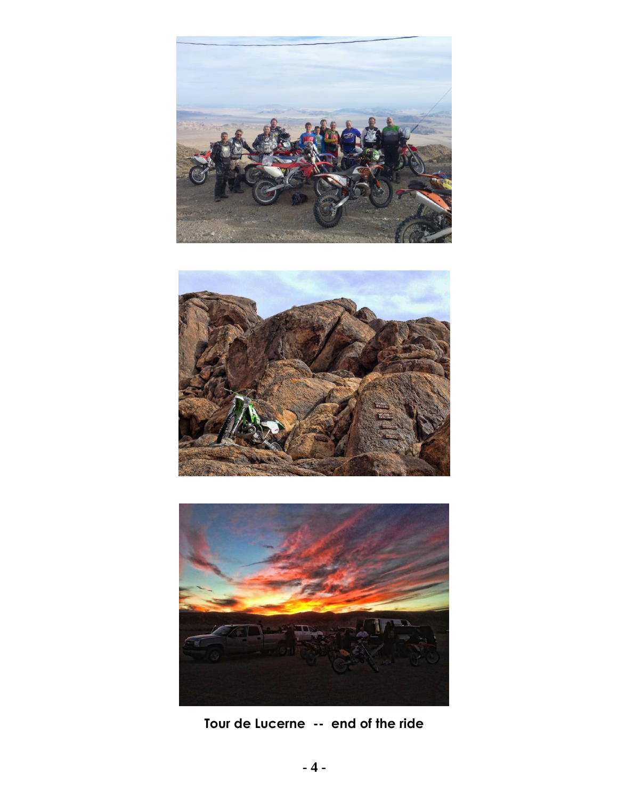





**Tour de Lucerne -- end of the ride**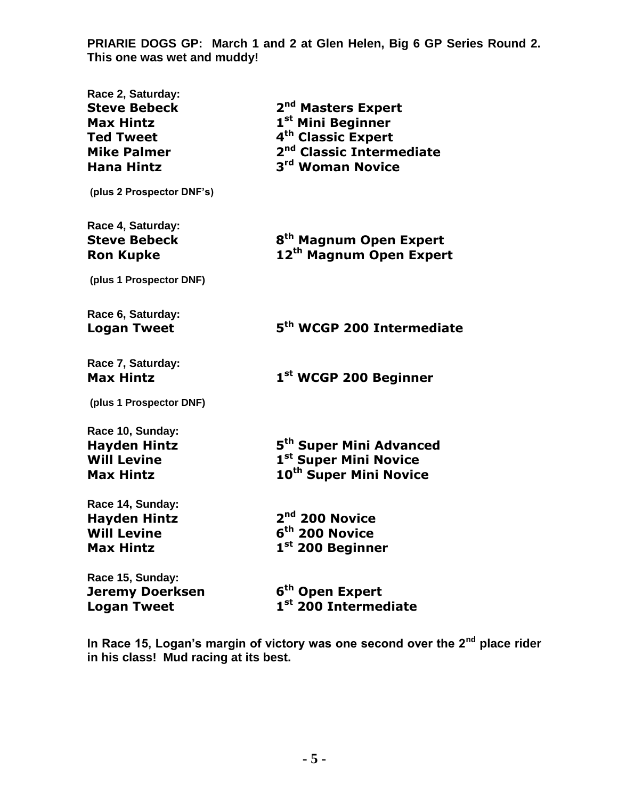**PRIARIE DOGS GP: March 1 and 2 at Glen Helen, Big 6 GP Series Round 2. This one was wet and muddy!** 

| Race 2, Saturday:         |                                       |
|---------------------------|---------------------------------------|
| <b>Steve Bebeck</b>       | 2 <sup>nd</sup> Masters Expert        |
| <b>Max Hintz</b>          | 1 <sup>st</sup> Mini Beginner         |
| <b>Ted Tweet</b>          | 4 <sup>th</sup> Classic Expert        |
| <b>Mike Palmer</b>        | 2 <sup>nd</sup> Classic Intermediate  |
| <b>Hana Hintz</b>         | 3 <sup>rd</sup> Woman Novice          |
| (plus 2 Prospector DNF's) |                                       |
| Race 4, Saturday:         |                                       |
| <b>Steve Bebeck</b>       | 8 <sup>th</sup> Magnum Open Expert    |
| <b>Ron Kupke</b>          | 12 <sup>th</sup> Magnum Open Expert   |
| (plus 1 Prospector DNF)   |                                       |
| Race 6, Saturday:         |                                       |
| <b>Logan Tweet</b>        | 5 <sup>th</sup> WCGP 200 Intermediate |
|                           |                                       |
| Race 7, Saturday:         |                                       |
| <b>Max Hintz</b>          | 1 <sup>st</sup> WCGP 200 Beginner     |
| (plus 1 Prospector DNF)   |                                       |
| Race 10, Sunday:          |                                       |
| <b>Hayden Hintz</b>       | 5 <sup>th</sup> Super Mini Advanced   |
| <b>Will Levine</b>        | 1st Super Mini Novice                 |
| <b>Max Hintz</b>          | 10 <sup>th</sup> Super Mini Novice    |
| Race 14, Sunday:          |                                       |
| <b>Hayden Hintz</b>       | 2 <sup>nd</sup> 200 Novice            |
| <b>Will Levine</b>        | 6 <sup>th</sup> 200 Novice            |
| <b>Max Hintz</b>          | 1 <sup>st</sup> 200 Beginner          |
| Race 15, Sunday:          |                                       |
| <b>Jeremy Doerksen</b>    | 6 <sup>th</sup> Open Expert           |
| <b>Logan Tweet</b>        | 1 <sup>st</sup> 200 Intermediate      |
|                           |                                       |

**In Race 15, Logan's margin of victory was one second over the 2nd place rider in his class! Mud racing at its best.**